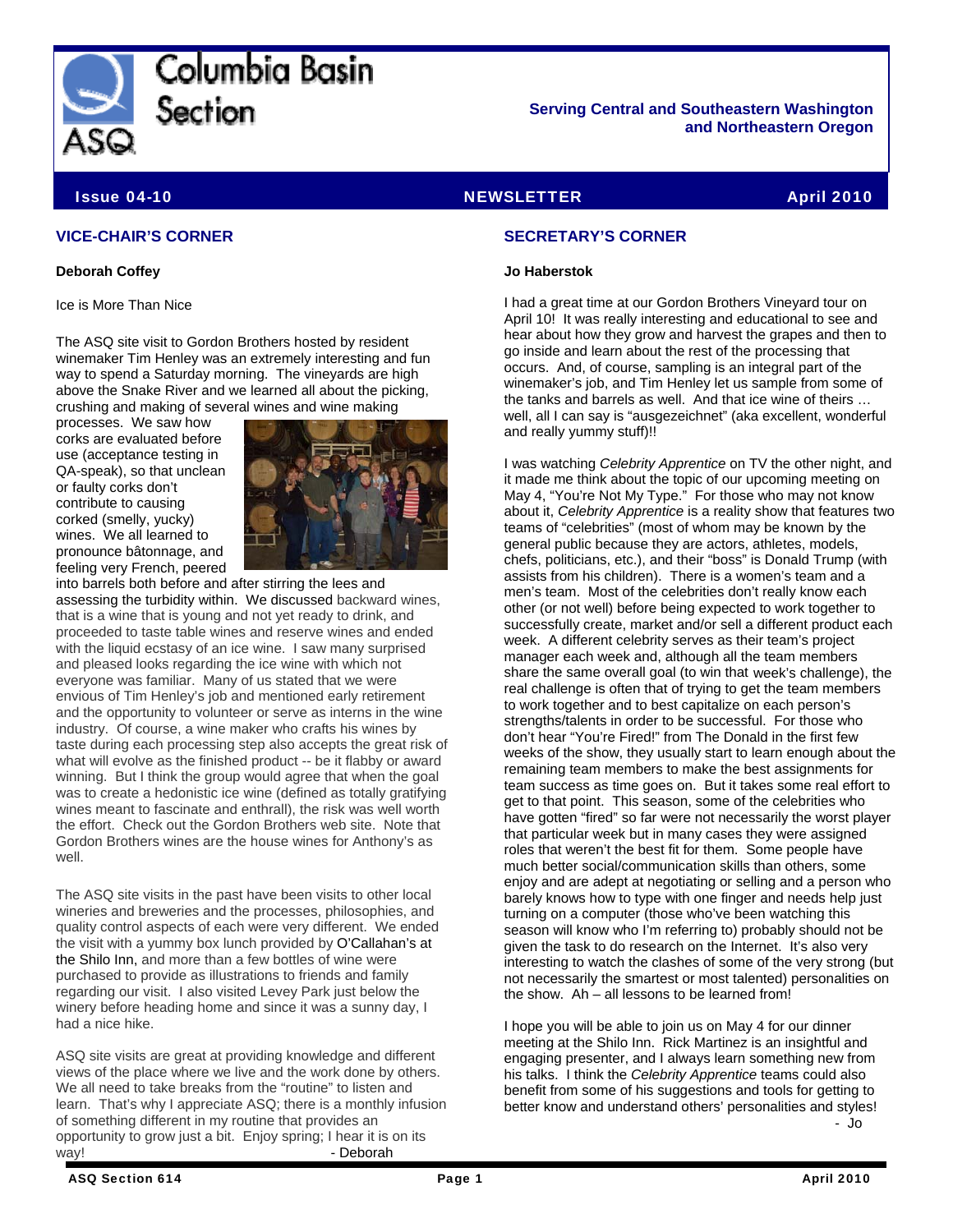

Columbia Basin Section

**Serving Central and Southeastern Washington and Northeastern Oregon** 

Issue 04-10 NEWSLETTER April 2010

#### **VICE-CHAIR'S CORNER**

#### **Deborah Coffey**

Ice is More Than Nice

The ASQ site visit to Gordon Brothers hosted by resident winemaker Tim Henley was an extremely interesting and fun way to spend a Saturday morning. The vineyards are high above the Snake River and we learned all about the picking, crushing and making of several wines and wine making

processes. We saw how corks are evaluated before use (acceptance testing in QA-speak), so that unclean or faulty corks don't contribute to causing corked (smelly, yucky) wines. We all learned to pronounce bâtonnage, and feeling very French, peered



into barrels both before and after stirring the lees and assessing the turbidity within. We discussed backward wines, that is a wine that is young and not yet ready to drink, and proceeded to taste table wines and reserve wines and ended with the liquid ecstasy of an ice wine. I saw many surprised and pleased looks regarding the ice wine with which not everyone was familiar. Many of us stated that we were envious of Tim Henley's job and mentioned early retirement and the opportunity to volunteer or serve as interns in the wine industry. Of course, a wine maker who crafts his wines by taste during each processing step also accepts the great risk of what will evolve as the finished product -- be it flabby or award winning. But I think the group would agree that when the goal was to create a hedonistic ice wine (defined as totally gratifying wines meant to fascinate and enthrall), the risk was well worth the effort. Check out the Gordon Brothers web site. Note that Gordon Brothers wines are the house wines for Anthony's as well.

The ASQ site visits in the past have been visits to other local wineries and breweries and the processes, philosophies, and quality control aspects of each were very different. We ended the visit with a yummy box lunch provided by O'Callahan's at the Shilo Inn, and more than a few bottles of wine were purchased to provide as illustrations to friends and family regarding our visit. I also visited Levey Park just below the winery before heading home and since it was a sunny day, I had a nice hike.

ASQ site visits are great at providing knowledge and different views of the place where we live and the work done by others. We all need to take breaks from the "routine" to listen and learn. That's why I appreciate ASQ; there is a monthly infusion of something different in my routine that provides an opportunity to grow just a bit. Enjoy spring; I hear it is on its way! **- Deborah** 

#### **SECRETARY'S CORNER**

#### **Jo Haberstok**

I had a great time at our Gordon Brothers Vineyard tour on April 10! It was really interesting and educational to see and hear about how they grow and harvest the grapes and then to go inside and learn about the rest of the processing that occurs. And, of course, sampling is an integral part of the winemaker's job, and Tim Henley let us sample from some of the tanks and barrels as well. And that ice wine of theirs … well, all I can say is "ausgezeichnet" (aka excellent, wonderful and really yummy stuff)!!

I was watching *Celebrity Apprentice* on TV the other night, and it made me think about the topic of our upcoming meeting on May 4, "You're Not My Type." For those who may not know about it, *Celebrity Apprentice* is a reality show that features two teams of "celebrities" (most of whom may be known by the general public because they are actors, athletes, models, chefs, politicians, etc.), and their "boss" is Donald Trump (with assists from his children). There is a women's team and a men's team. Most of the celebrities don't really know each other (or not well) before being expected to work together to successfully create, market and/or sell a different product each week. A different celebrity serves as their team's project manager each week and, although all the team members share the same overall goal (to win that week's challenge), the real challenge is often that of trying to get the team members to work together and to best capitalize on each person's strengths/talents in order to be successful. For those who don't hear "You're Fired!" from The Donald in the first few weeks of the show, they usually start to learn enough about the remaining team members to make the best assignments for team success as time goes on. But it takes some real effort to get to that point. This season, some of the celebrities who have gotten "fired" so far were not necessarily the worst player that particular week but in many cases they were assigned roles that weren't the best fit for them. Some people have much better social/communication skills than others, some enjoy and are adept at negotiating or selling and a person who barely knows how to type with one finger and needs help just turning on a computer (those who've been watching this season will know who I'm referring to) probably should not be given the task to do research on the Internet. It's also very interesting to watch the clashes of some of the very strong (but not necessarily the smartest or most talented) personalities on the show. Ah – all lessons to be learned from!

I hope you will be able to join us on May 4 for our dinner meeting at the Shilo Inn. Rick Martinez is an insightful and engaging presenter, and I always learn something new from his talks. I think the *Celebrity Apprentice* teams could also benefit from some of his suggestions and tools for getting to better know and understand others' personalities and styles! - Jo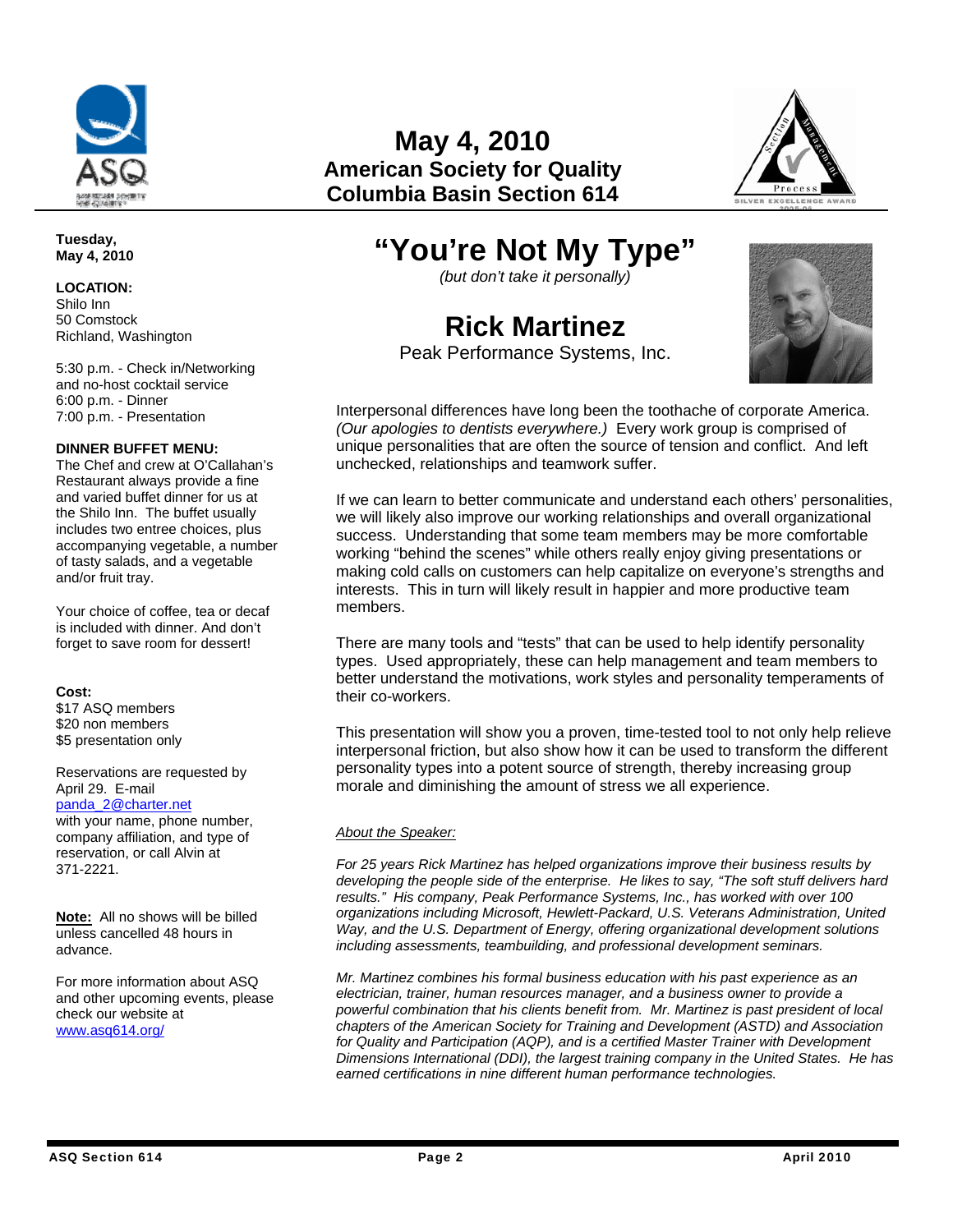

**May 4, 2010 American Society for Quality Columbia Basin Section 614**



## **"You're Not My Type"**

*(but don't take it personally)* 

# **Rick Martinez**



Peak Performance Systems, Inc.

Interpersonal differences have long been the toothache of corporate America. *(Our apologies to dentists everywhere.)* Every work group is comprised of unique personalities that are often the source of tension and conflict. And left unchecked, relationships and teamwork suffer.

If we can learn to better communicate and understand each others' personalities, we will likely also improve our working relationships and overall organizational success. Understanding that some team members may be more comfortable working "behind the scenes" while others really enjoy giving presentations or making cold calls on customers can help capitalize on everyone's strengths and interests. This in turn will likely result in happier and more productive team members.

There are many tools and "tests" that can be used to help identify personality types. Used appropriately, these can help management and team members to better understand the motivations, work styles and personality temperaments of their co-workers.

This presentation will show you a proven, time-tested tool to not only help relieve interpersonal friction, but also show how it can be used to transform the different personality types into a potent source of strength, thereby increasing group morale and diminishing the amount of stress we all experience.

#### *About the Speaker:*

*For 25 years Rick Martinez has helped organizations improve their business results by developing the people side of the enterprise. He likes to say, "The soft stuff delivers hard results." His company, Peak Performance Systems, Inc., has worked with over 100 organizations including Microsoft, Hewlett-Packard, U.S. Veterans Administration, United Way, and the U.S. Department of Energy, offering organizational development solutions including assessments, teambuilding, and professional development seminars.* 

*Mr. Martinez combines his formal business education with his past experience as an electrician, trainer, human resources manager, and a business owner to provide a powerful combination that his clients benefit from. Mr. Martinez is past president of local chapters of the American Society for Training and Development (ASTD) and Association for Quality and Participation (AQP), and is a certified Master Trainer with Development Dimensions International (DDI), the largest training company in the United States. He has earned certifications in nine different human performance technologies.* 

**Tuesday, May 4, 2010** 

**LOCATION:**  Shilo Inn

50 Comstock Richland, Washington

5:30 p.m. - Check in/Networking and no-host cocktail service 6:00 p.m. - Dinner 7:00 p.m. - Presentation

#### **DINNER BUFFET MENU:**

The Chef and crew at O'Callahan's Restaurant always provide a fine and varied buffet dinner for us at the Shilo Inn. The buffet usually includes two entree choices, plus accompanying vegetable, a number of tasty salads, and a vegetable and/or fruit tray.

Your choice of coffee, tea or decaf is included with dinner. And don't forget to save room for dessert!

#### **Cost:**

\$17 ASQ members \$20 non members \$5 presentation only

Reservations are requested by April 29. E-mail

### [panda\\_2@charter.net](mailto:panda_2@charter.net)

with your name, phone number, company affiliation, and type of reservation, or call Alvin at 371-2221.

**Note:** All no shows will be billed unless cancelled 48 hours in advance.

For more information about ASQ and other upcoming events, please check our website at [www.asq614.org/](http://www.asq614.org/)